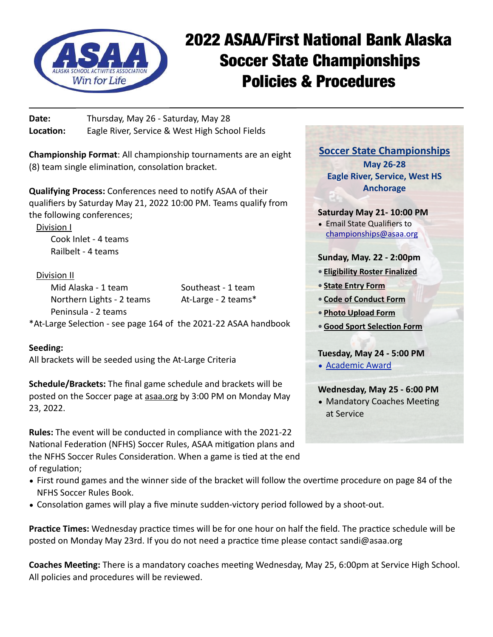

# 2022 ASAA/First National Bank Alaska Soccer State Championships Policies & Procedures

**Date:** Thursday, May 26 - Saturday, May 28 **Location:** Eagle River, Service & West High School Fields

**Championship Format**: All championship tournaments are an eight (8) team single elimination, consolation bracket.

**Qualifying Process:** Conferences need to notify ASAA of their qualifiers by Saturday May 21, 2022 10:00 PM. Teams qualify from the following conferences;

Division I Cook Inlet - 4 teams Railbelt - 4 teams

# Division II

Mid Alaska - 1 team Southeast - 1 team Northern Lights - 2 teams At-Large - 2 teams\* Peninsula - 2 teams

\*At-Large Selection - see page 164 of the 2021-22 ASAA handbook

# **Seeding:**

All brackets will be seeded using the At-Large Criteria

**Schedule/Brackets:** The final game schedule and brackets will be posted on the Soccer page at [asaa.org](http://asaa.org) by 3:00 PM on Monday May 23, 2022.

**Rules:** The event will be conducted in compliance with the 2021-22 National Federation (NFHS) Soccer Rules, ASAA mitigation plans and the NFHS Soccer Rules Consideration. When a game is tied at the end of regulation;

**[Soccer State Championships](http://asaa.org/activities/soccer/soccer-coaches/) May 26-28 Eagle River, Service, West HS Anchorage**

**Saturday May 21- 10:00 PM**

• Email State Qualifiers to [championships@asaa.org](mailto:championships@asaa.org)

**Sunday, May. 22 - 2:00pm** 

- **• [Eligibility Roster Finalized](https://www.arbiterathlete.com)**
- **• [State Entry Form](http://asaa.org/handbook-forms/online-forms/state-championship-entry-form/)**
- **• [Code of Conduct Form](http://asaa.org/handbook-forms/online-forms/state-championship-code-of-conduct/)**
- **• [Photo Upload Form](http://asaa.org/handbook-forms/online-forms/state-championship-photo-upload-form/)**
- **•[Good Sport Selection Form](http://asaa.org/handbook-forms/online-forms/good-sport-selection-form/)**

**Tuesday, May 24 - 5:00 PM**

• [Academic Award](http://asaa.org/handbook-forms/online-forms/academic-award-entry-form/)

at Service

**Wednesday, May 25 - 6:00 PM** • Mandatory Coaches Meeting

- First round games and the winner side of the bracket will follow the overtime procedure on page 84 of the NFHS Soccer Rules Book.
- Consolation games will play a five minute sudden-victory period followed by a shoot-out.

**Practice Times:** Wednesday practice times will be for one hour on half the field. The practice schedule will be posted on Monday May 23rd. If you do not need a practice time please contact sandi@asaa.org

**Coaches Meeting:** There is a mandatory coaches meeting Wednesday, May 25, 6:00pm at Service High School. All policies and procedures will be reviewed.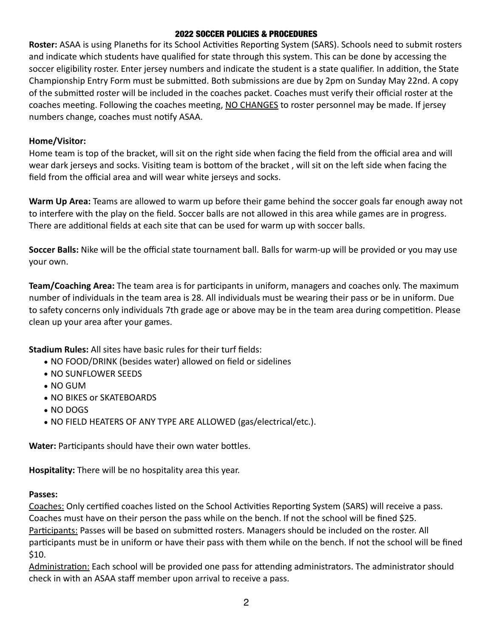### 2022 SOCCER POLICIES & PROCEDURES

**Roster:** ASAA is using Planeths for its School Activities Reporting System (SARS). Schools need to submit rosters and indicate which students have qualified for state through this system. This can be done by accessing the soccer eligibility roster. Enter jersey numbers and indicate the student is a state qualifier. In addition, the State Championship Entry Form must be submitted. Both submissions are due by 2pm on Sunday May 22nd. A copy of the submitted roster will be included in the coaches packet. Coaches must verify their official roster at the coaches meeting. Following the coaches meeting, NO CHANGES to roster personnel may be made. If jersey numbers change, coaches must notify ASAA.

## **Home/Visitor:**

Home team is top of the bracket, will sit on the right side when facing the field from the official area and will wear dark jerseys and socks. Visiting team is bottom of the bracket , will sit on the left side when facing the field from the official area and will wear white jerseys and socks.

**Warm Up Area:** Teams are allowed to warm up before their game behind the soccer goals far enough away not to interfere with the play on the field. Soccer balls are not allowed in this area while games are in progress. There are additional fields at each site that can be used for warm up with soccer balls.

**Soccer Balls:** Nike will be the official state tournament ball. Balls for warm-up will be provided or you may use your own.

**Team/Coaching Area:** The team area is for participants in uniform, managers and coaches only. The maximum number of individuals in the team area is 28. All individuals must be wearing their pass or be in uniform. Due to safety concerns only individuals 7th grade age or above may be in the team area during competition. Please clean up your area after your games.

**Stadium Rules:** All sites have basic rules for their turf fields:

- NO FOOD/DRINK (besides water) allowed on field or sidelines
- NO SUNFLOWER SEEDS
- NO GUM
- NO BIKES or SKATEBOARDS
- NO DOGS
- NO FIELD HEATERS OF ANY TYPE ARE ALLOWED (gas/electrical/etc.).

**Water:** Participants should have their own water bottles.

**Hospitality:** There will be no hospitality area this year.

# **Passes:**

Coaches: Only certified coaches listed on the School Activities Reporting System (SARS) will receive a pass. Coaches must have on their person the pass while on the bench. If not the school will be fined \$25. Participants: Passes will be based on submitted rosters. Managers should be included on the roster. All participants must be in uniform or have their pass with them while on the bench. If not the school will be fined \$10.

Administration: Each school will be provided one pass for attending administrators. The administrator should check in with an ASAA staff member upon arrival to receive a pass.